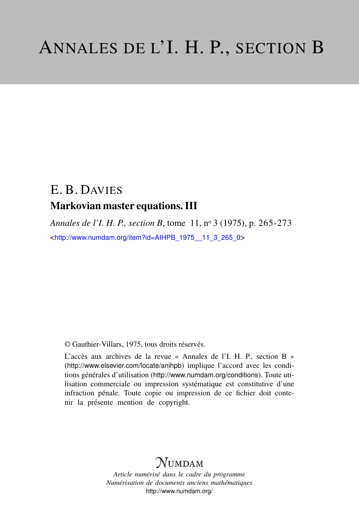# E. B. DAVIES Markovian master equations. III

*Annales de l'I. H. P., section B*, tome 11, n<sup>o</sup> 3 (1975), p. 265-273 <[http://www.numdam.org/item?id=AIHPB\\_1975\\_\\_11\\_3\\_265\\_0](http://www.numdam.org/item?id=AIHPB_1975__11_3_265_0)>

© Gauthier-Villars, 1975, tous droits réservés.

L'accès aux archives de la revue « Annales de l'I. H. P., section B » (<http://www.elsevier.com/locate/anihpb>) implique l'accord avec les conditions générales d'utilisation (<http://www.numdam.org/conditions>). Toute utilisation commerciale ou impression systématique est constitutive d'une infraction pénale. Toute copie ou impression de ce fichier doit contenir la présente mention de copyright.

# **NUMDAM**

*Article numérisé dans le cadre du programme Numérisation de documents anciens mathématiques* <http://www.numdam.org/>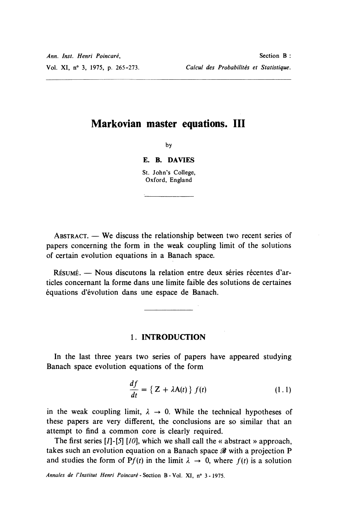## Markovian master equations. III

by

#### E. B. DAVIES

St. John's College, Oxford, England

 $ABSTRACT. - We discuss the relationship between two recent series of$ papers concerning the form in the weak coupling limit of the solutions of certain evolution equations in a Banach space.

RESUME. - Nous discutons la relation entre deux series recentes d'articles concernant la forme dans une limite faible des solutions de certaines equations d'évolution dans une espace de Banach.

### 1. INTRODUCTION

In the last three years two series of papers have appeared studying Banach space evolution equations of the form

$$
\frac{df}{dt} = \{ Z + \lambda A(t) \} f(t) \qquad (1.1)
$$

in the weak coupling limit,  $\lambda \rightarrow 0$ . While the technical hypotheses of these papers are very different, the conclusions are so similar that an attempt to find a common core is clearly required.

The first series  $[I]$ -[5]  $[10]$ , which we shall call the « abstract » approach, takes such an evolution equation on a Banach space  $\mathscr B$  with a projection P and studies the form of P $f(t)$  in the limit  $\lambda \rightarrow 0$ , where  $f(t)$  is a solution

Annales de l'Institut Henri Poincaré - Section B - Vol. XI, n° 3 - 1975.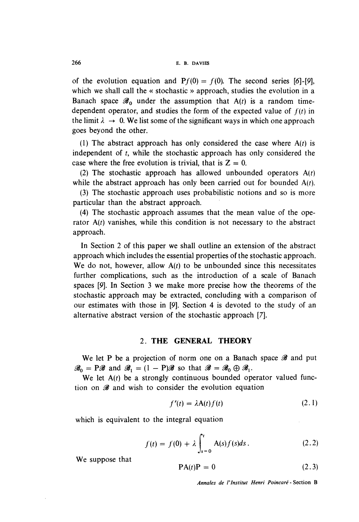of the evolution equation and  $Pf(0) = f(0)$ . The second series [6]-[9], which we shall call the « stochastic » approach, studies the evolution in a Banach space  $\mathscr{B}_0$  under the assumption that A(t) is a random timedependent operator, and studies the form of the expected value of  $f(t)$  in the limit  $\lambda \rightarrow 0$ . We list some of the significant ways in which one approach goes beyond the other.

(1) The abstract approach has only considered the case where  $A(t)$  is independent of t, while the stochastic approach has only considered the case where the free evolution is trivial, that is  $Z = 0$ .

(2) The stochastic approach has allowed unbounded operators  $A(t)$ while the abstract approach has only been carried out for bounded  $A(t)$ .

(3) The stochastic approach uses probabilistic notions and so is more particular than the abstract approach.

(4) The stochastic approach assumes that the mean value of the operator  $A(t)$  vanishes, while this condition is not necessary to the abstract approach.

In Section 2 of this paper we shall outline an extension of the abstract approach which includes the essential properties of the stochastic approach. We do not, however, allow  $A(t)$  to be unbounded since this necessitates further complications, such as the introduction of a scale of Banach spaces [9]. In Section 3 we make more precise how the theorems of the stochastic approach may be extracted, concluding with a comparison of our estimates with those in [9]. Section 4 is devoted to the study of an alternative abstract version of the stochastic approach [7].

#### 2. THE GENERAL THEORY

We let P be a projection of norm one on a Banach space  $\mathscr B$  and put  $\mathscr{B}_0 = \mathbb{P}\mathscr{B}$  and  $\mathscr{B}_1 = (1 - \mathbb{P})\mathscr{B}$  so that  $\mathscr{B} = \mathscr{B}_0 \oplus \mathscr{B}_1$ .

We let  $A(t)$  be a strongly continuous bounded operator valued function on  $\mathscr B$  and wish to consider the evolution equation

$$
f'(t) = \lambda A(t) f(t) \tag{2.1}
$$

which is equivalent to the integral equation

$$
f(t) = f(0) + \lambda \int_{s=0}^{t} A(s)f(s)ds.
$$
 (2.2)

We suppose that

$$
PA(t)P = 0 \tag{2.3}
$$

Annales de l'Institut Henri Poincaré - Section B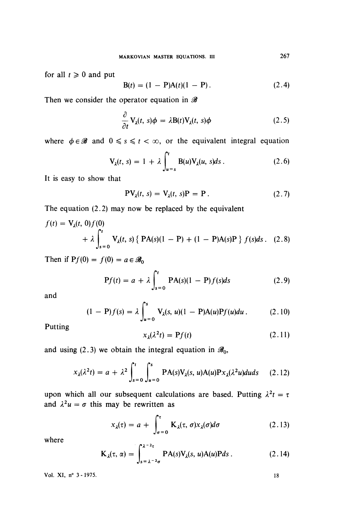for all  $t \geq 0$  and put

$$
B(t) = (1 - P)A(t)(1 - P).
$$
 (2.4)

Then we consider the operator equation in  $\mathscr B$ 

$$
\frac{\partial}{\partial t} \mathbf{V}_{\lambda}(t, s) \phi = \lambda \mathbf{B}(t) \mathbf{V}_{\lambda}(t, s) \phi \qquad (2.5)
$$

where  $\phi \in \mathcal{B}$  and  $0 \le s \le t < \infty$ , or the equivalent integral equation

$$
\mathbf{V}_{\lambda}(t, s) = 1 + \lambda \int_{u=s}^{t} \mathbf{B}(u) \mathbf{V}_{\lambda}(u, s) ds. \qquad (2.6)
$$

It is easy to show that

$$
PV_{\lambda}(t, s) = V_{\lambda}(t, s)P = P.
$$
 (2.7)

The equation (2.2) may now be replaced by the equivalent

$$
f(t) = V_{\lambda}(t, 0) f(0)
$$
  
+  $\lambda \int_{s=0}^{t} V_{\lambda}(t, s) \{PA(s)(1 - P) + (1 - P)A(s)P\} f(s) ds$ . (2.8)

Then if  $Pf(0) = f(0) = a \in \mathscr{B}_0$ 

$$
Pf(t) = a + \lambda \int_{s=0}^{t} PA(s)(1 - P)f(s)ds
$$
 (2.9)

and

$$
(1 - P)f(s) = \lambda \int_{u=0}^{s} V_{\lambda}(s, u)(1 - P)A(u)Pf(u)du.
$$
 (2.10)

Putting

$$
x_{\lambda}(\lambda^2 t) = \mathbf{P}f(t) \tag{2.11}
$$

and using (2.3) we obtain the integral equation in  $\mathscr{B}_0$ ,

$$
x_{\lambda}(\lambda^2 t) = a + \lambda^2 \int_{s=0}^t \int_{u=0}^s \text{PA}(s) V_{\lambda}(s, u) A(u) P x_{\lambda}(\lambda^2 u) du ds \qquad (2.12)
$$

upon which all our subsequent calculations are based. Putting  $\lambda^2 t = \tau$ and  $\lambda^2 u = \sigma$  this may be rewritten as

$$
x_{\lambda}(\tau) = a + \int_{\sigma=0}^{\tau} \mathbf{K}_{\lambda}(\tau, \sigma) x_{\lambda}(\sigma) d\sigma \qquad (2.13)
$$

where

$$
K_{\lambda}(\tau, \alpha) = \int_{s=\lambda^{-2}\sigma}^{\lambda^{-2}\tau} PA(s)V_{\lambda}(s, u)A(u)Pds.
$$
 (2.14)

Vol. XI, n° 3 - 1975.

 $18\,$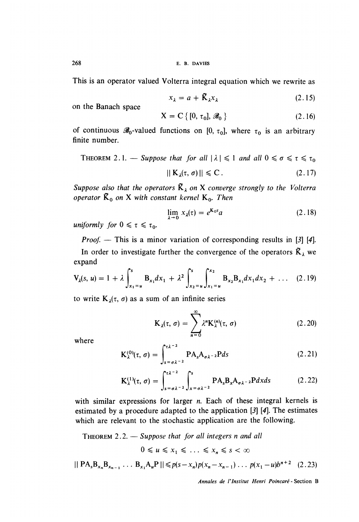268 E. B. DAVIES

This is an operator valued Volterra integral equation which we rewrite as

$$
x_{\lambda} = a + \tilde{K}_{\lambda} x_{\lambda} \tag{2.15}
$$

on the Banach space

$$
X = C \{ [0, \tau_0], \mathscr{B}_0 \}
$$
 (2.16)

of continuous  $\mathscr{B}_0$ -valued functions on [0,  $\tau_0$ ], where  $\tau_0$  is an arbitrary finite number.

THEOREM 2.1. — Suppose that for all 
$$
|\lambda| \le 1
$$
 and all  $0 \le \sigma \le \tau \le \tau_0$ 

$$
|| K_{\lambda}(\tau, \sigma) || \leqslant C. \tag{2.17}
$$

Suppose also that the operators  $\tilde{K}_{\lambda}$  on X converge strongly to the Volterra operator  $\tilde{K}_0$  on X with constant kernel  $K_0$ . Then

$$
\lim_{\lambda \to 0} x_{\lambda}(\tau) = e^{\mathbf{K}_0 \tau} a \tag{2.18}
$$

uniformly for  $0 \leq \tau \leq \tau_0$ .

*Proof.* — This is a minor variation of corresponding results in [3] [4].

In order to investigate further the convergence of the operators  $\tilde{K}_\lambda$  we expand

$$
V_{\lambda}(s, u) = 1 + \lambda \int_{x_1=u}^{s} B_{x_1} dx_1 + \lambda^2 \int_{x_2=u}^{s} \int_{x_1=u}^{x_2} B_{x_2} B_{x_1} dx_1 dx_2 + \dots \quad (2.19)
$$

to write  $K_{\lambda}(\tau, \sigma)$  as a sum of an infinite series

$$
\mathbf{K}_{\lambda}(\tau,\,\sigma)=\sum_{n=0}^{\infty}\lambda^{n}\mathbf{K}_{\lambda}^{(n)}(\tau,\,\sigma)\tag{2.20}
$$

where

$$
K_{\lambda}^{(0)}(\tau,\,\sigma)=\int_{s=\sigma\lambda^{-2}}^{\tau\lambda^{-2}}PA_{s}A_{\sigma\lambda^{-2}}Pds
$$
 (2.21)

$$
\mathbf{K}_{\lambda}^{(1)}(\tau,\,\sigma)=\int_{s=\sigma\lambda^{-2}}^{t\lambda^{-2}}\int_{x=\sigma\lambda^{-2}}^{s}\mathbf{P}\mathbf{A}_{s}\mathbf{B}_{x}\mathbf{A}_{\sigma\lambda^{-2}}\mathbf{P}dxds\qquad \qquad (2.22)
$$

with similar expressions for larger  $n$ . Each of these integral kernels is estimated by a procedure adapted to the application [3] [4]. The estimates which are relevant to the stochastic application are the following.

THEOREM  $2.2$ .  $-$  Suppose that for all integers n and all

 $0 \leq u \leq x_1 \leq \ldots \leq x_n \leq s < \infty$ 

$$
||\text{ PA}_{s}B_{x_{n}}B_{x_{n-1}}\ldots B_{x_{1}}A_{u}P|| \leq p(s-x_{n})p(x_{n}-x_{n-1})\ldots p(x_{1}-u)b^{n+2} \quad (2.23)
$$

Annales de l'Institut Henri Poincaré - Section B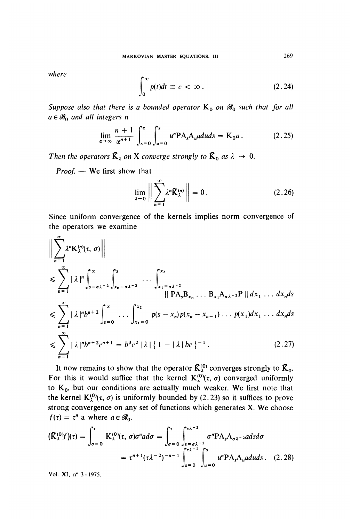where

$$
\int_0^\infty p(t)dt \equiv c < \infty.
$$
 (2.24)

Suppose also that there is a bounded operator  $K_0$  on  $\mathscr{B}_0$  such that for all  $a \in \mathcal{B}_0$  and all integers n

$$
\lim_{\alpha \to \infty} \frac{n+1}{\alpha^{n+1}} \int_{s=0}^{\alpha} \int_{u=0}^{s} u^{n} \mathbf{P} \mathbf{A}_{s} \mathbf{A}_{u} \, du \, ds = \mathbf{K}_{0} a \,. \tag{2.25}
$$

Then the operators  $\tilde{K}_{\lambda}$  on X converge strongly to  $\tilde{K}_{0}$  as  $\lambda \rightarrow 0$ .

 $Proof. -$  We first show that

$$
\lim_{\lambda \to 0} \left\| \sum_{n=1}^{\infty} \lambda^n \widetilde{K}_{\lambda}^{(n)} \right\| = 0. \qquad (2.26)
$$

Since uniform convergence of the kernels implies norm convergence of the operators we examine

$$
\begin{aligned}\n&\Big|\sum_{n=1}^{\infty} \lambda^{n} K_{\lambda}^{(n)}(\tau, \sigma)\Big|\Big| \\
&\leq \sum_{n=1}^{\infty} |\lambda|^{n} \int_{s=\sigma\lambda^{-2}}^{\infty} \int_{x_{n}=\sigma\lambda^{-2}}^{s} \cdots \int_{x_{1}=\sigma\lambda^{-2}}^{x_{2}} \cdot \cdot \cdot \int_{x_{1}=\sigma\lambda^{-2}}^{x_{2}} ||PA_{s}B_{x_{n}}\ldots B_{x_{1}}A_{\sigma\lambda^{-2}}P|| dx_{1}\ldots dx_{n} ds \\
&\leq \sum_{n=1}^{\infty} |\lambda|^{n} b^{n+2} \int_{s=0}^{\infty} \cdots \int_{x_{1}=0}^{x_{2}} p(s-x_{n}) p(x_{n}-x_{n-1}) \ldots p(x_{1}) dx_{1}\ldots dx_{n} ds \\
&\leq \sum_{n=1}^{\infty} |\lambda|^{n} b^{n+2} c^{n+1} = b^{3} c^{2} |\lambda| \{1 - |\lambda| b c\}^{-1}.\n\end{aligned} \tag{2.27}
$$

It now remains to show that the operator  $\tilde{K}_{\lambda}^{(0)}$  converges strongly to  $\tilde{K}_{0}$ . For this it would suffice that the kernel  $K_{\lambda}^{(0)}(\tau, \sigma)$  converged uniformly to  $K_0$ , but our conditions are actually much weaker. We first note that the kernel  $K_{\lambda}^{(0)}(\tau, \sigma)$  is uniformly bounded by (2.23) so it suffices to prove strong convergence on any set of functions which generates X. We choose  $f(\tau) = \tau^n$  a where  $a \in \mathscr{B}_0$ .

$$
(\tilde{K}_{\lambda}^{(0)}f)(\tau) = \int_{\sigma=0}^{\tau} K_{\lambda}^{(0)}(\tau, \sigma) \sigma^n a d\sigma = \int_{\sigma=0}^{\tau} \int_{s=\sigma\lambda^{-2}}^{\tau\lambda^{-2}} \sigma^n P A_s A_{\sigma\lambda^{-2}} a ds d\sigma
$$

$$
= \tau^{n+1} (\tau\lambda^{-2})^{-n-1} \int_{s=0}^{\tau\lambda^{-2}} \int_{u=0}^{s} u^n P A_s A_u a duds. \quad (2.28)
$$

Vol. XI, n° 3 - 1975.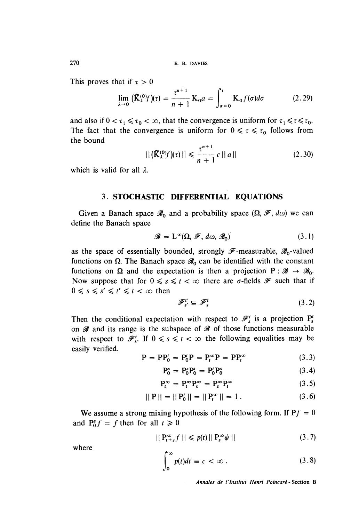270 E. B. DAVIES

This proves that if  $\tau > 0$ 

$$
\lim_{\lambda \to 0} \left( \tilde{K}_{\lambda}^{(0)} f \right) (\tau) = \frac{\tau^{n+1}}{n+1} \, K_0 a = \int_{\sigma = 0}^{\tau} K_0 f(\sigma) d\sigma \tag{2.29}
$$

and also if  $0 < \tau_1 \le \tau_0 < \infty$ , that the convergence is uniform for  $\tau_1 \le \tau \le \tau_0$ . The fact that the convergence is uniform for  $0 \le \tau \le \tau_0$  follows from the bound

$$
||(\tilde{\mathbf{K}}_{\lambda}^{(0)}f)(\tau)|| \leq \frac{\tau^{n+1}}{n+1}c \,||\,a\,|| \tag{2.30}
$$

which is valid for all  $\lambda$ .

#### 3. STOCHASTIC DIFFERENTIAL EQUATIONS

Given a Banach space  $\mathscr{B}_0$  and a probability space  $(\Omega, \mathscr{F}, d\omega)$  we can define the Banach space

$$
\mathscr{B} = \mathcal{L}^{\infty}(\Omega, \mathscr{F}, d\omega, \mathscr{B}_0) \tag{3.1}
$$

as the space of essentially bounded, strongly  $\mathscr{F}$ -measurable,  $\mathscr{B}_0$ -valued functions on  $\Omega$ . The Banach space  $\mathscr{B}_0$  can be identified with the constant functions on  $\Omega$  and the expectation is then a projection  $P : \mathscr{B} \to \mathscr{B}_0$ . Now suppose that for  $0 \le s \le t < \infty$  there are  $\sigma$ -fields  $\mathscr F$  such that if  $0 \leq s \leq s' \leq t' \leq t < \infty$  then

$$
\mathcal{F}_{s'}^{t'} \subseteq \mathcal{F}_{s}^{t} \tag{3.2}
$$

Then the conditional expectation with respect to  $\mathcal{F}'_s$  is a projection  $P'_s$ on  $\mathscr B$  and its range is the subspace of  $\mathscr B$  of those functions measurable with respect to  $\mathcal{F}'_s$ . If  $0 \le s \le t < \infty$  the following equalities may be easily verified.

$$
P = PP_0^t = P_0^t P = P_t^{\infty} P = PP_t^{\infty}
$$
\n(3.3)

$$
P_0^s = P_0^s P_0^t = P_0^t P_0^s \tag{3.4}
$$

$$
\mathbf{P}_t^{\infty} = \mathbf{P}_t^{\infty} \mathbf{P}_s^{\infty} = \mathbf{P}_s^{\infty} \mathbf{P}_t^{\infty}
$$
 (3.5)

$$
||P|| = ||P'_0|| = ||P''_t|| = 1.
$$
 (3.6)

We assume a strong mixing hypothesis of the following form. If  $Pf = 0$ and  $P_0^s f = f$  then for all  $t \ge 0$ 

$$
||\mathbf{P}_{t+s}^{\infty}f|| \leq p(t)||\mathbf{P}_{s}^{\infty}\psi|| \qquad (3.7)
$$

where

$$
\int_0^\infty p(t)dt \equiv c < \infty \,. \tag{3.8}
$$

Annales de l'lnstitut Henri Poincaré - Section B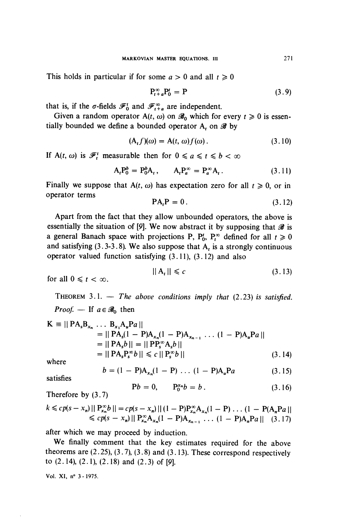This holds in particular if for some  $a > 0$  and all  $t \ge 0$ 

$$
\mathbf{P}_{t+a}^{\infty} \mathbf{P}_0^t = \mathbf{P} \tag{3.9}
$$

that is, if the  $\sigma$ -fields  $\mathscr{F}_0^t$  and  $\mathscr{F}_{t+a}^{\infty}$  are independent.

Given a random operator A(t,  $\omega$ ) on  $\mathscr{B}_0$  which for every  $t \ge 0$  is essentially bounded we define a bounded operator A, on  $\mathscr B$  by

$$
(\mathbf{A}_t f)(\omega) = \mathbf{A}(t, \omega) f(\omega).
$$
 (3.10)

If A(t,  $\omega$ ) is  $\mathscr{F}_t^t$  measurable then for  $0 \le a \le t \le b < \infty$ 

$$
A_t P_0^b = P_0^b A_t, \qquad A_t P_a^{\infty} = P_a^{\infty} A_t.
$$
 (3.11)

Finally we suppose that A(t,  $\omega$ ) has expectation zero for all  $t \ge 0$ , or in operator terms

$$
PAtP = 0.
$$
 (3.12)

Apart from the fact that they allow unbounded operators, the above is essentially the situation of [9]. We now abstract it by supposing that  $\mathscr B$  is a general Banach space with projections P,  $P_0^t$ ,  $P_t^{\infty}$  defined for all  $t \ge 0$ and satisfying (3.3-3.8). We also suppose that  $A_t$  is a strongly continuous operator valued function satisfying  $(3.11)$ ,  $(3.12)$  and also

$$
||A_t|| \leq c \tag{3.13}
$$

for all  $0 \le t < \infty$ .

THEOREM  $3.1.$  - The above conditions imply that (2.23) is satisfied. *Proof.* — If  $a \in \mathcal{B}_0$  then

$$
\mathbf{K} \equiv ||\,\mathbf{P}\mathbf{A}_{s}\mathbf{B}_{x_{n}}\,\dots\,\mathbf{B}_{x_{1}}\mathbf{A}_{u}\mathbf{P}a||
$$
\n
$$
= ||\,\mathbf{P}\mathbf{A}_{s}(1-\mathbf{P})\mathbf{A}_{x_{n}}(1-\mathbf{P})\mathbf{A}_{x_{n-1}}\,\dots\,(1-\mathbf{P})\mathbf{A}_{u}\mathbf{P}a||
$$
\n
$$
= ||\,\mathbf{P}\mathbf{A}_{s}b|| = ||\,\mathbf{P}\mathbf{P}_{s}^{\infty}\mathbf{A}_{s}b||
$$
\n
$$
= ||\,\mathbf{P}\mathbf{A}_{s}\mathbf{P}_{s}^{\infty}b|| \leq c ||\,\mathbf{P}_{s}^{\infty}b|| \tag{3.14}
$$

where

satisfies

$$
b = (1 - P)A_{x_n}(1 - P) \dots (1 - P)A_u Pa \qquad (3.15)
$$

Therefore by (3.7)

$$
k \leq c p(s - x_n) || P_{x_n}^{\infty} b || = c p(s - x_n) || (1 - P) P_{x_n}^{\infty} A_{x_n} (1 - P) \dots (1 - P (A_n P a ||
$$
  
\n
$$
\leq c p(s - x_n) || P_{x_n}^{\infty} A_{x_n} (1 - P) A_{x_{n-1}} \dots (1 - P) A_n P a ||
$$
 (3.17)

 $Pb = 0,$   $P_0^{x_n}b = b$ .

after which we may proceed by induction.

We finally comment that the key estimates required for the above theorems are  $(2.25)$ ,  $(3.7)$ ,  $(3.8)$  and  $(3.13)$ . These correspond respectively to  $(2.14)$ ,  $(2.1)$ ,  $(2.18)$  and  $(2.3)$  of [9].

Vol. XI, n° 3 - 1975.

 $(3.16)$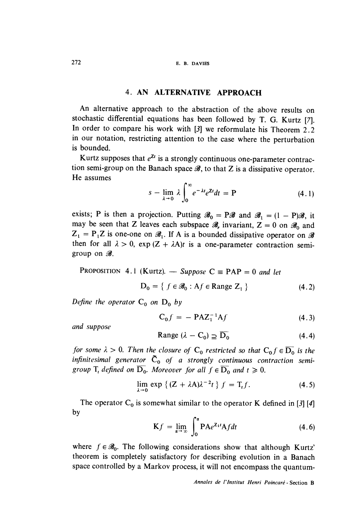### 4. AN ALTERNATWE APPROACH

An alternative approach to the abstraction of the above results on stochastic differential equations has been followed by T. G. Kurtz [7]. In order to compare his work with [3] we reformulate his Theorem 2.2 in our notation, restricting attention to the case where the perturbation is bounded.

Kurtz supposes that  $e^{Zt}$  is a strongly continuous one-parameter contraction semi-group on the Banach space  $\mathscr{B}$ , to that Z is a dissipative operator. He assumes

$$
s - \lim_{\lambda \to 0} \lambda \int_0^\infty e^{-\lambda t} e^{2t} dt = P \tag{4.1}
$$

exists; P is then a projection. Putting  $\mathscr{B}_0 = P\mathscr{B}$  and  $\mathscr{B}_1 = (1 - P)\mathscr{B}$ , it may be seen that Z leaves each subspace  $\mathscr{B}_r$  invariant,  $Z = 0$  on  $\mathscr{B}_0$  and  $Z_1 = P_1 Z$  is one-one on  $\mathcal{B}_1$ . If A is a bounded dissipative operator on  $\mathcal{B}$ then for all  $\lambda > 0$ ,  $\exp(Z + \lambda A)t$  is a one-parameter contraction semigroup on  $\mathscr{B}$ .

PROPOSITION 4.1 (Kurtz). 
$$
-
$$
 Suppose  $C \equiv PAP = 0$  and let  $D_0 = \{ f \in \mathcal{B}_0 : Af \in \text{Range } Z_1 \}$  (4.2)

Define the operator  $C_0$  on  $D_0$  by

$$
C_0 f = - P A Z_1^{-1} A f \qquad (4.3)
$$

and suppose

Range 
$$
(\lambda - C_0) \supseteq \overline{D_0}
$$
 (4.4)

for some  $\lambda > 0$ . Then the closure of  $C_0$  restricted so that  $C_0 f \in \overline{D_0}$  is the infinitesimal generator  $\tilde{C}_0$  of a strongly continuous contraction semigroup  $T_t$  defined on  $\overline{D}_0$ . Moreover for all  $f \in \overline{D}_0$  and  $t \ge 0$ .

$$
\lim_{\lambda \to 0} \exp \left\{ (Z + \lambda A) \lambda^{-2} t \right\} f = T_t f. \tag{4.5}
$$

The operator  $C_0$  is somewhat similar to the operator K defined in [3] [4] by

$$
Kf = \lim_{\alpha \to \infty} \int_0^{\alpha} P A e^{Z_1 t} A f dt
$$
 (4.6)

where  $f \in \mathscr{B}_0$ . The following considerations show that although Kurtz' theorem is completely satisfactory for describing evolution in a Banach space controlled by a Markov process, it will not encompass the quantum